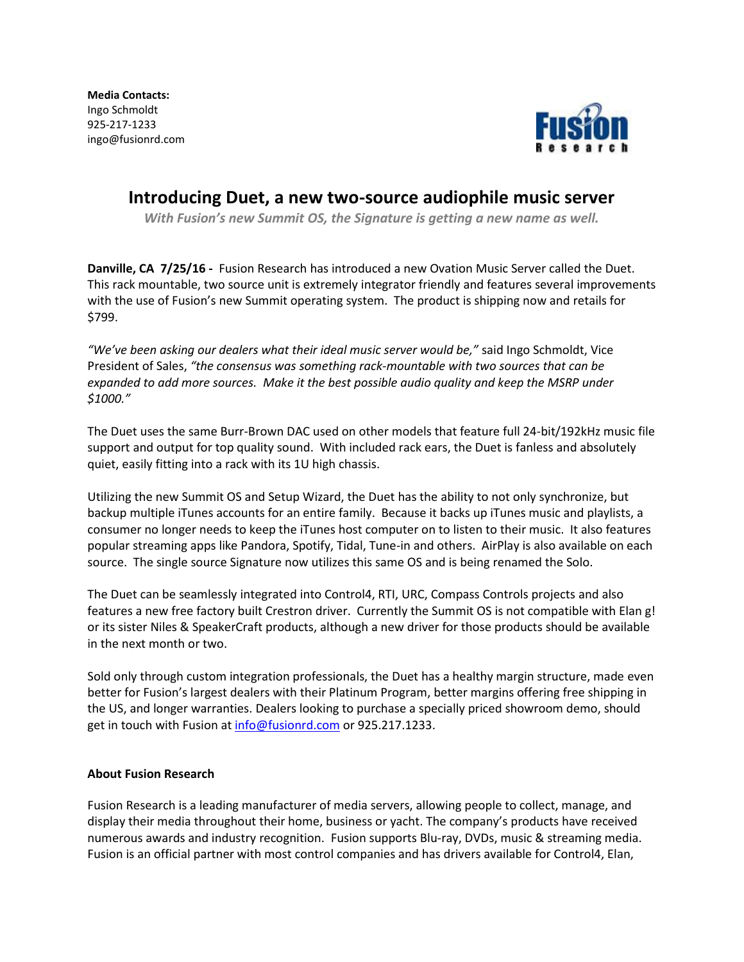**Media Contacts:**  Ingo Schmoldt 925-217-1233 ingo@fusionrd.com



## **Introducing Duet, a new two-source audiophile music server**

*With Fusion's new Summit OS, the Signature is getting a new name as well.*

**Danville, CA 7/25/16 -** Fusion Research has introduced a new Ovation Music Server called the Duet. This rack mountable, two source unit is extremely integrator friendly and features several improvements with the use of Fusion's new Summit operating system. The product is shipping now and retails for \$799.

*"We've been asking our dealers what their ideal music server would be,"* said Ingo Schmoldt, Vice President of Sales, *"the consensus was something rack-mountable with two sources that can be expanded to add more sources. Make it the best possible audio quality and keep the MSRP under \$1000."*

The Duet uses the same Burr-Brown DAC used on other models that feature full 24-bit/192kHz music file support and output for top quality sound. With included rack ears, the Duet is fanless and absolutely quiet, easily fitting into a rack with its 1U high chassis.

Utilizing the new Summit OS and Setup Wizard, the Duet has the ability to not only synchronize, but backup multiple iTunes accounts for an entire family. Because it backs up iTunes music and playlists, a consumer no longer needs to keep the iTunes host computer on to listen to their music. It also features popular streaming apps like Pandora, Spotify, Tidal, Tune-in and others. AirPlay is also available on each source. The single source Signature now utilizes this same OS and is being renamed the Solo.

The Duet can be seamlessly integrated into Control4, RTI, URC, Compass Controls projects and also features a new free factory built Crestron driver. Currently the Summit OS is not compatible with Elan g! or its sister Niles & SpeakerCraft products, although a new driver for those products should be available in the next month or two.

Sold only through custom integration professionals, the Duet has a healthy margin structure, made even better for Fusion's largest dealers with their Platinum Program, better margins offering free shipping in the US, and longer warranties. Dealers looking to purchase a specially priced showroom demo, should get in touch with Fusion at [info@fusionrd.com](mailto:info@fusionrd.com) or 925.217.1233.

## **About Fusion Research**

Fusion Research is a leading manufacturer of media servers, allowing people to collect, manage, and display their media throughout their home, business or yacht. The company's products have received numerous awards and industry recognition. Fusion supports Blu-ray, DVDs, music & streaming media. Fusion is an official partner with most control companies and has drivers available for Control4, Elan,